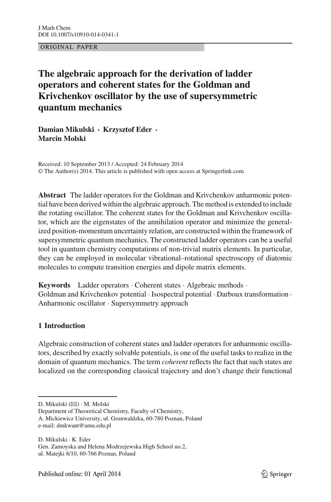### ORIGINAL PAPER

# **The algebraic approach for the derivation of ladder operators and coherent states for the Goldman and Krivchenkov oscillator by the use of supersymmetric quantum mechanics**

**Damian Mikulski · Krzysztof Eder · Marcin Molski**

Received: 10 September 2013 / Accepted: 24 February 2014 © The Author(s) 2014. This article is published with open access at Springerlink.com

**Abstract** The ladder operators for the Goldman and Krivchenkov anharmonic potential have been derived within the algebraic approach. The method is extended to include the rotating oscillator. The coherent states for the Goldman and Krivchenkov oscillator, which are the eigenstates of the annihilation operator and minimize the generalized position-momentum uncertainty relation, are constructed within the framework of supersymmetric quantum mechanics. The constructed ladder operators can be a useful tool in quantum chemistry computations of non-trivial matrix elements. In particular, they can be employed in molecular vibrational–rotational spectroscopy of diatomic molecules to compute transition energies and dipole matrix elements.

**Keywords** Ladder operators · Coherent states · Algebraic methods · Goldman and Krivchenkov potential · Isospectral potential · Darboux transformation · Anharmonic oscillator · Supersymmetry approach

## **1 Introduction**

Algebraic construction of coherent states and ladder operators for anharmonic oscillators, described by exactly solvable potentials, is one of the useful tasks to realize in the domain of quantum mechanics. The term *coherent* reflects the fact that such states are localized on the corresponding classical trajectory and don't change their functional

D. Mikulski · K. Eder Gen. Zamoyska and Helena Modrzejewska High School no.2, ul. Matejki 8/10, 60-766 Poznan, Poland

D. Mikulski (B) · M. Molski

Department of Theoretical Chemistry, Faculty of Chemistry,

A. Mickiewicz University, ul. Grunwaldzka, 60-780 Poznan, Poland e-mail: dmkwant@amu.edu.pl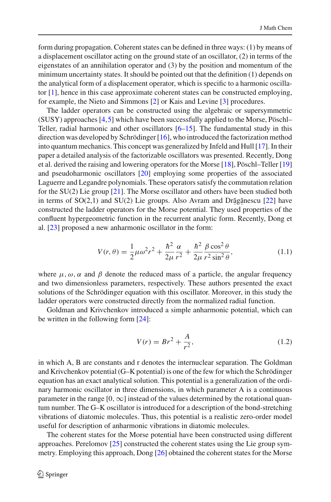form during propagation. Coherent states can be defined in three ways: (1) by means of a displacement oscillator acting on the ground state of an oscillator, (2) in terms of the eigenstates of an annihilation operator and (3) by the position and momentum of the minimum uncertainty states. It should be pointed out that the definition (1) depends on the analytical form of a displacement operator, which is specific to a harmonic oscillator [\[1\]](#page-13-0), hence in this case approximate coherent states can be constructed employing, for example, the Nieto and Simmons [\[2](#page-13-1)] or Kais and Levine [\[3](#page-13-2)] procedures.

The ladder operators can be constructed using the algebraic or supersymmetric (SUSY) approaches [\[4](#page-13-3)[,5](#page-13-4)] which have been successfully applied to the Morse, Pöschl– Teller, radial harmonic and other oscillators  $[6-15]$  $[6-15]$ . The fundamental study in this direction was developed by Schrödinger [\[16](#page-13-7)], who introduced the factorization method into quantum mechanics. This concept was generalized by Infeld and Hull [\[17](#page-13-8)]. In their paper a detailed analysis of the factorizable oscillators was presented. Recently, Dong et al. derived the raising and lowering operators for the Morse [\[18](#page-13-9)], Pöschl–Teller [\[19\]](#page-13-10) and pseudoharmonic oscillators [\[20\]](#page-13-11) employing some properties of the associated Laguerre and Legandre polynomials. These operators satisfy the commutation relation for the  $SU(2)$  Lie group [\[21](#page-13-12)]. The Morse oscillator and others have been studied both in terms of  $SO(2,1)$  and  $SU(2)$  Lie groups. Also Avram and Drăgănescu  $[22]$  have constructed the ladder operators for the Morse potential. They used properties of the confluent hypergeometric function in the recurrent analytic form. Recently, Dong et al. [\[23](#page-13-14)] proposed a new anharmonic oscillator in the form:

$$
V(r,\theta) = \frac{1}{2}\mu\omega^2r^2 + \frac{\hbar^2}{2\mu}\frac{\alpha}{r^2} + \frac{\hbar^2}{2\mu}\frac{\beta\cos^2\theta}{r^2\sin^2\theta},
$$
 (1.1)

where  $\mu$ ,  $\omega$ ,  $\alpha$  and  $\beta$  denote the reduced mass of a particle, the angular frequency and two dimensionless parameters, respectively. These authors presented the exact solutions of the Schrödinger equation with this oscillator. Moreover, in this study the ladder operators were constructed directly from the normalized radial function.

Goldman and Krivchenkov introduced a simple anharmonic potential, which can be written in the following form [\[24](#page-13-15)]:

$$
V(r) = Br^2 + \frac{A}{r^2},
$$
\n(1.2)

<span id="page-1-0"></span>in which A, B are constants and r denotes the internuclear separation. The Goldman and Krivchenkov potential (G–K potential) is one of the few for which the Schrödinger equation has an exact analytical solution. This potential is a generalization of the ordinary harmonic oscillator in three dimensions, in which parameter A is a continuous parameter in the range  $[0, \infty]$  instead of the values determined by the rotational quantum number. The G–K oscillator is introduced for a description of the bond-stretching vibrations of diatomic molecules. Thus, this potential is a realistic zero-order model useful for description of anharmonic vibrations in diatomic molecules.

The coherent states for the Morse potential have been constructed using different approaches. Perelomov  $[25]$  $[25]$  constructed the coherent states using the Lie group symmetry. Employing this approach, Dong [\[26\]](#page-13-17) obtained the coherent states for the Morse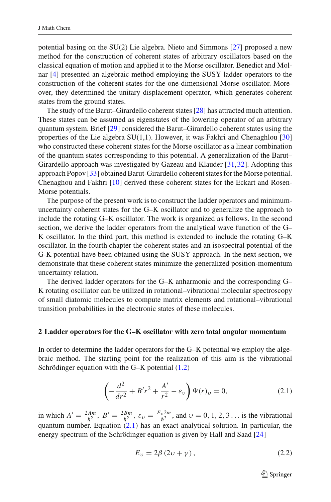potential basing on the SU(2) Lie algebra. Nieto and Simmons [\[27\]](#page-13-18) proposed a new method for the construction of coherent states of arbitrary oscillators based on the classical equation of motion and applied it to the Morse oscillator. Benedict and Molnar [\[4\]](#page-13-3) presented an algebraic method employing the SUSY ladder operators to the construction of the coherent states for the one-dimensional Morse oscillator. Moreover, they determined the unitary displacement operator, which generates coherent states from the ground states.

The study of the Barut–Girardello coherent states [\[28](#page-13-19)] has attracted much attention. These states can be assumed as eigenstates of the lowering operator of an arbitrary quantum system. Brief [\[29](#page-13-20)] considered the Barut–Girardello coherent states using the properties of the Lie algebra  $SU(1,1)$ . However, it was Fakhri and Chenaghlou [\[30\]](#page-13-21) who constructed these coherent states for the Morse oscillator as a linear combination of the quantum states corresponding to this potential. A generalization of the Barut– Girardello approach was investigated by Gazeau and Klauder [\[31,](#page-13-22)[32\]](#page-13-23). Adopting this approach Popov [\[33\]](#page-13-24) obtained Barut-Girardello coherent states for the Morse potential. Chenaghou and Fakhri [\[10\]](#page-13-25) derived these coherent states for the Eckart and Rosen-Morse potentials.

The purpose of the present work is to construct the ladder operators and minimumuncertainty coherent states for the G–K oscillator and to generalize the approach to include the rotating G–K oscillator. The work is organized as follows. In the second section, we derive the ladder operators from the analytical wave function of the G– K oscillator. In the third part, this method is extended to include the rotating G–K oscillator. In the fourth chapter the coherent states and an isospectral potential of the G-K potential have been obtained using the SUSY approach. In the next section, we demonstrate that these coherent states minimize the generalized position-momentum uncertainty relation.

The derived ladder operators for the G–K anharmonic and the corresponding G– K rotating oscillator can be utilized in rotational–vibrational molecular spectroscopy of small diatomic molecules to compute matrix elements and rotational–vibrational transition probabilities in the electronic states of these molecules.

#### **2 Ladder operators for the G–K oscillator with zero total angular momentum**

In order to determine the ladder operators for the G–K potential we employ the algebraic method. The starting point for the realization of this aim is the vibrational Schrödinger equation with the G–K potential [\(1.2\)](#page-1-0)

$$
\left(-\frac{d^2}{dr^2} + B'r^2 + \frac{A'}{r^2} - \varepsilon_v\right)\Psi(r)_v = 0,
$$
\n(2.1)

<span id="page-2-0"></span>in which  $A' = \frac{2Am}{\hbar^2}$ ,  $B' = \frac{2Bm}{\hbar^2}$ ,  $\varepsilon_v = \frac{E_v 2m}{\hbar^2}$ , and  $v = 0, 1, 2, 3...$  is the vibrational<br>guarantum number Equation (2.1) has an used englished solution. In particular, the quantum number. Equation [\(2.1\)](#page-2-0) has an exact analytical solution. In particular, the energy spectrum of the Schrödinger equation is given by Hall and Saad [\[24](#page-13-15)]

$$
E_{\nu} = 2\beta (2\nu + \gamma) , \qquad (2.2)
$$

 $\mathcal{L}$  Springer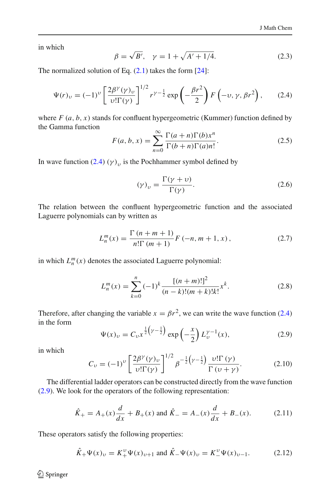in which

$$
\beta = \sqrt{B'}, \quad \gamma = 1 + \sqrt{A' + 1/4}.
$$
 (2.3)

The normalized solution of Eq.  $(2.1)$  takes the form  $[24]$ :

$$
\Psi(r)_{\nu} = (-1)^{\nu} \left[ \frac{2\beta^{\nu}(\gamma)_{\nu}}{\nu! \Gamma(\gamma)} \right]^{1/2} r^{\gamma - \frac{1}{2}} \exp\left(-\frac{\beta r^2}{2}\right) F\left(-\nu, \gamma, \beta r^2\right), \tag{2.4}
$$

<span id="page-3-0"></span>where  $F(a, b, x)$  stands for confluent hypergeometric (Kummer) function defined by the Gamma function

$$
F(a, b, x) = \sum_{n=0}^{\infty} \frac{\Gamma(a+n)\Gamma(b)x^n}{\Gamma(b+n)\Gamma(a)n!}.
$$
 (2.5)

In wave function  $(2.4)$   $(\gamma)_v$  is the Pochhammer symbol defined by

$$
(\gamma)_v = \frac{\Gamma(\gamma + v)}{\Gamma(\gamma)}.\tag{2.6}
$$

The relation between the confluent hypergeometric function and the associated Laguerre polynomials can by written as

$$
L_n^m(x) = \frac{\Gamma(n+m+1)}{n!\Gamma(m+1)} F(-n, m+1, x),
$$
 (2.7)

in which  $L_n^m(x)$  denotes the associated Laguerre polynomial:

$$
L_n^m(x) = \sum_{k=0}^n (-1)^k \frac{[(n+m)!]^2}{(n-k)!(m+k)!k!} x^k.
$$
 (2.8)

<span id="page-3-2"></span>Therefore, after changing the variable  $x = \beta r^2$ , we can write the wave function [\(2.4\)](#page-3-0) in the form

$$
\Psi(x)_\nu = C_\nu x^{\frac{1}{2}\left(\gamma - \frac{1}{2}\right)} \exp\left(-\frac{x}{2}\right) L^{\gamma - 1}_\nu(x),\tag{2.9}
$$

<span id="page-3-1"></span>in which

$$
C_{\nu} = (-1)^{\nu} \left[ \frac{2\beta^{\gamma}(\gamma)_{\nu}}{\nu! \Gamma(\gamma)} \right]^{1/2} \beta^{-\frac{1}{2}(\gamma - \frac{1}{2})} \frac{\nu! \Gamma(\gamma)}{\Gamma(\nu + \gamma)}.
$$
 (2.10)

The differential ladder operators can be constructed directly from the wave function [\(2.9\)](#page-3-1). We look for the operators of the following representation:

$$
\hat{K}_{+} = A_{+}(x)\frac{d}{dx} + B_{+}(x) \text{ and } \hat{K}_{-} = A_{-}(x)\frac{d}{dx} + B_{-}(x). \tag{2.11}
$$

These operators satisfy the following properties:

$$
\hat{K}_{+}\Psi(x)_{\nu} = K_{+}^{\nu}\Psi(x)_{\nu+1} \text{ and } \hat{K}_{-}\Psi(x)_{\nu} = K_{-}^{\nu}\Psi(x)_{\nu-1}.
$$
 (2.12)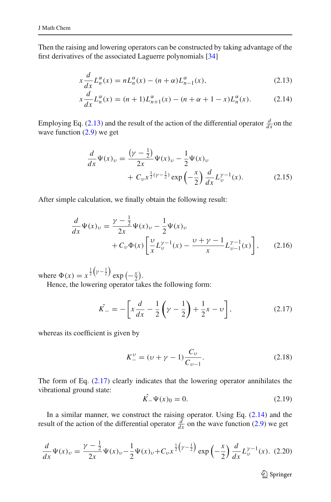<span id="page-4-0"></span>Then the raising and lowering operators can be constructed by taking advantage of the first derivatives of the associated Laguerre polynomials [\[34](#page-13-26)]

$$
x\frac{d}{dx}L_n^{\alpha}(x) = nL_n^{\alpha}(x) - (n+\alpha)L_{n-1}^{\alpha}(x),
$$
\n(2.13)

$$
x\frac{d}{dx}L_n^{\alpha}(x) = (n+1)L_{n+1}^{\alpha}(x) - (n+\alpha+1-x)L_n^{\alpha}(x).
$$
 (2.14)

Employing Eq. [\(2.13\)](#page-4-0) and the result of the action of the differential operator  $\frac{d}{dx}$  on the wave function [\(2.9\)](#page-3-1) we get

$$
\frac{d}{dx}\Psi(x)_v = \frac{(\gamma - \frac{1}{2})}{2x}\Psi(x)_v - \frac{1}{2}\Psi(x)_v \n+ C_v x^{\frac{1}{2}(\gamma - \frac{1}{2})} \exp\left(-\frac{x}{2}\right) \frac{d}{dx} L_v^{\gamma - 1}(x).
$$
\n(2.15)

After simple calculation, we finally obtain the following result:

$$
\frac{d}{dx}\Psi(x)_v = \frac{\gamma - \frac{1}{2}}{2x}\Psi(x)_v - \frac{1}{2}\Psi(x)_v \n+ C_v\Phi(x)\left[\frac{v}{x}L_v^{\gamma - 1}(x) - \frac{v + \gamma - 1}{x}L_{v-1}^{\gamma - 1}(x)\right],
$$
\n(2.16)

where  $\Phi(x) = x^{\frac{1}{2}(\gamma - \frac{1}{2})} \exp(-\frac{x}{2}).$ 

<span id="page-4-1"></span>Hence, the lowering operator takes the following form:

$$
\hat{K}_{-} = -\left[x\frac{d}{dx} - \frac{1}{2}\left(\gamma - \frac{1}{2}\right) + \frac{1}{2}x - \nu\right],
$$
\n(2.17)

whereas its coefficient is given by

$$
K_{-}^{v} = (v + \gamma - 1) \frac{C_v}{C_{v-1}}.
$$
\n(2.18)

The form of Eq. [\(2.17\)](#page-4-1) clearly indicates that the lowering operator annihilates the vibrational ground state:

$$
\hat{K}_{-}\Psi(x)_{0} = 0. \tag{2.19}
$$

In a similar manner, we construct the raising operator. Using Eq. [\(2.14\)](#page-4-0) and the result of the action of the differential operator  $\frac{d}{dx}$  on the wave function [\(2.9\)](#page-3-1) we get

$$
\frac{d}{dx}\Psi(x)_\nu = \frac{\gamma - \frac{1}{2}}{2x}\Psi(x)_\nu - \frac{1}{2}\Psi(x)_\nu + C_\nu x^{\frac{1}{2}\left(\gamma - \frac{1}{2}\right)}\exp\left(-\frac{x}{2}\right)\frac{d}{dx}L_\nu^{\gamma - 1}(x). \tag{2.20}
$$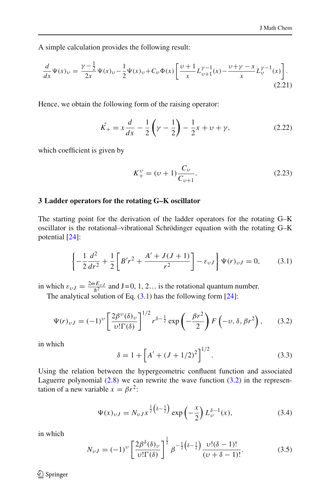A simple calculation provides the following result:

$$
\frac{d}{dx}\Psi(x)_v = \frac{\gamma - \frac{1}{2}}{2x}\Psi(x)_v - \frac{1}{2}\Psi(x)_v + C_v\Phi(x)\left[\frac{v+1}{x}L_{v+1}^{\gamma - 1}(x) - \frac{v+\gamma - x}{x}L_v^{\gamma - 1}(x)\right].\tag{2.21}
$$

Hence, we obtain the following form of the raising operator:

$$
\hat{K}_{+} = x \frac{d}{dx} - \frac{1}{2} \left( \gamma - \frac{1}{2} \right) - \frac{1}{2} x + \nu + \gamma, \tag{2.22}
$$

which coefficient is given by

$$
K_{+}^{\nu} = (\nu + 1) \frac{C_{\nu}}{C_{\nu+1}}.
$$
\n(2.23)

#### **3 Ladder operators for the rotating G–K oscillator**

The starting point for the derivation of the ladder operators for the rotating G–K oscillator is the rotational–vibrational Schrödinger equation with the rotating G–K potential [\[24](#page-13-15)]:

$$
\left\{-\frac{1}{2}\frac{d^2}{dr^2} + \frac{1}{2}\left[B'r^2 + \frac{A'+J(J+1)}{r^2}\right] - \varepsilon_{vJ}\right\}\Psi(r)_{vJ} = 0,\tag{3.1}
$$

<span id="page-5-0"></span>in which  $\varepsilon_{vJ} = \frac{2mE_{vJ}}{\hbar^2}$  and J = 0, 1, 2... is the rotational quantum number.<br>The englytical colution of Eq. (3.1) has the following form [24].

The analytical solution of Eq.  $(3.1)$  has the following form  $[24]$ :

$$
\Psi(r)_{\nu J} = (-1)^{\nu} \left[ \frac{2\beta^{\nu}(\delta)_{\nu}}{\nu! \Gamma(\delta)} \right]^{1/2} r^{\delta - \frac{1}{2}} \exp\left(-\frac{\beta r^2}{2}\right) F\left(-\nu, \delta, \beta r^2\right), \quad (3.2)
$$

<span id="page-5-1"></span>in which

$$
\delta = 1 + \left[ A' + (J + 1/2)^2 \right]^{1/2}.
$$
 (3.3)

Using the relation between the hypergeometric confluent function and associated Laguerre polynomial  $(2.8)$  we can rewrite the wave function  $(3.2)$  in the representation of a new variable  $x = \beta r^2$ :

$$
\Psi(x)_{\nu J} = N_{\nu J} x^{\frac{1}{2} \left(\delta - \frac{1}{2}\right)} \exp\left(-\frac{x}{2}\right) L_{\nu}^{\delta - 1}(x),\tag{3.4}
$$

<span id="page-5-2"></span>in which

$$
N_{\upsilon J} = (-1)^{\upsilon} \left[ \frac{2\beta^{\delta}(\delta)_{\upsilon}}{\upsilon! \Gamma(\delta)} \right]^{\frac{1}{2}} \beta^{-\frac{1}{2} \left(\delta - \frac{1}{2}\right)} \frac{\upsilon! (\delta - 1)!}{(\upsilon + \delta - 1)!}.
$$
 (3.5)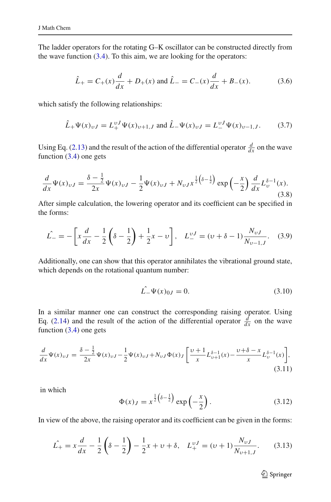The ladder operators for the rotating G–K oscillator can be constructed directly from the wave function  $(3.4)$ . To this aim, we are looking for the operators:

$$
\hat{L}_{+} = C_{+}(x)\frac{d}{dx} + D_{+}(x) \text{ and } \hat{L}_{-} = C_{-}(x)\frac{d}{dx} + B_{-}(x). \tag{3.6}
$$

which satisfy the following relationships:

$$
\hat{L}_{+}\Psi(x)_{\nu J} = L_{+}^{\nu J}\Psi(x)_{\nu+1,J} \text{ and } \hat{L}_{-}\Psi(x)_{\nu J} = L_{-}^{\nu J}\Psi(x)_{\nu-1,J}. \tag{3.7}
$$

Using Eq. [\(2.13\)](#page-4-0) and the result of the action of the differential operator  $\frac{d}{dx}$  on the wave function [\(3.4\)](#page-5-2) one gets

$$
\frac{d}{dx}\Psi(x)_{\nu J} = \frac{\delta - \frac{1}{2}}{2x}\Psi(x)_{\nu J} - \frac{1}{2}\Psi(x)_{\nu J} + N_{\nu J}x^{\frac{1}{2}(\delta - \frac{1}{2})}\exp\left(-\frac{x}{2}\right)\frac{d}{dx}L_v^{\delta - 1}(x). \tag{3.8}
$$

After simple calculation, the lowering operator and its coefficient can be specified in the forms:

$$
\hat{L}_{-} = -\left[x\frac{d}{dx} - \frac{1}{2}\left(\delta - \frac{1}{2}\right) + \frac{1}{2}x - v\right], \quad L_{-}^{vJ} = (v + \delta - 1)\frac{N_{vJ}}{N_{v-1,J}}.\tag{3.9}
$$

Additionally, one can show that this operator annihilates the vibrational ground state, which depends on the rotational quantum number:

$$
\hat{L}_{-}\Psi(x)_{0J} = 0. \tag{3.10}
$$

In a similar manner one can construct the corresponding raising operator. Using Eq. [\(2.14\)](#page-4-0) and the result of the action of the differential operator  $\frac{d}{dx}$  on the wave function  $(3.4)$  one gets

$$
\frac{d}{dx}\Psi(x)_{\nu J} = \frac{\delta - \frac{1}{2}}{2x}\Psi(x)_{\nu J} - \frac{1}{2}\Psi(x)_{\nu J} + N_{\nu J}\Phi(x)_{J} \left[ \frac{\nu + 1}{x} L_{\nu + 1}^{\delta - 1}(x) - \frac{\nu + \delta - x}{x} L_{\nu}^{\delta - 1}(x) \right],\tag{3.11}
$$

in which

$$
\Phi(x)_J = x^{\frac{1}{2}\left(\delta - \frac{1}{2}\right)} \exp\left(-\frac{x}{2}\right). \tag{3.12}
$$

In view of the above, the raising operator and its coefficient can be given in the forms:

$$
\hat{L}_{+} = x \frac{d}{dx} - \frac{1}{2} \left( \delta - \frac{1}{2} \right) - \frac{1}{2} x + \nu + \delta, \quad L_{+}^{\nu J} = (\nu + 1) \frac{N_{\nu J}}{N_{\nu + 1, J}}. \tag{3.13}
$$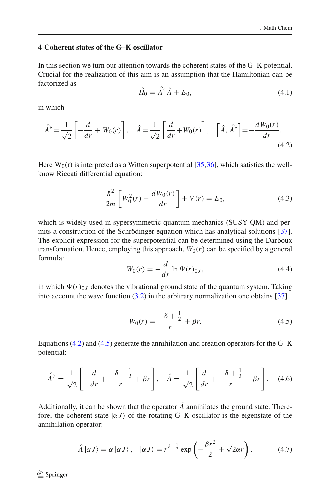## **4 Coherent states of the G–K oscillator**

In this section we turn our attention towards the coherent states of the G–K potential. Crucial for the realization of this aim is an assumption that the Hamiltonian can be factorized as

$$
\hat{H}_0 = \hat{A}^\dagger \hat{A} + E_0,\tag{4.1}
$$

<span id="page-7-0"></span>in which

$$
\hat{A}^{\dagger} = \frac{1}{\sqrt{2}} \left[ -\frac{d}{dr} + W_0(r) \right], \quad \hat{A} = \frac{1}{\sqrt{2}} \left[ \frac{d}{dr} + W_0(r) \right], \quad \left[ \hat{A}, \hat{A}^{\dagger} \right] = -\frac{dW_0(r)}{dr}.
$$
\n(4.2)

Here  $W_0(r)$  is interpreted as a Witten superpotential [\[35](#page-13-27),[36](#page-13-28)], which satisfies the wellknow Riccati differential equation:

$$
\frac{\hbar^2}{2m} \left[ W_0^2(r) - \frac{dW_0(r)}{dr} \right] + V(r) = E_0,
$$
\n(4.3)

which is widely used in sypersymmetric quantum mechanics (SUSY QM) and permits a construction of the Schrödinger equation which has analytical solutions [\[37](#page-13-29)]. The explicit expression for the superpotential can be determined using the Darboux transformation. Hence, employing this approach,  $W_0(r)$  can be specified by a general formula:

$$
W_0(r) = -\frac{d}{dr} \ln \Psi(r)_{0J},
$$
\n(4.4)

in which  $\Psi(r)_{0J}$  denotes the vibrational ground state of the quantum system. Taking into account the wave function  $(3.2)$  in the arbitrary normalization one obtains  $[37]$  $[37]$ 

$$
W_0(r) = \frac{-\delta + \frac{1}{2}}{r} + \beta r.
$$
 (4.5)

<span id="page-7-1"></span>Equations [\(4.2\)](#page-7-0) and [\(4.5\)](#page-7-1) generate the annihilation and creation operators for the G–K potential:

$$
\hat{A}^{\dagger} = \frac{1}{\sqrt{2}} \left[ -\frac{d}{dr} + \frac{-\delta + \frac{1}{2}}{r} + \beta r \right], \quad \hat{A} = \frac{1}{\sqrt{2}} \left[ \frac{d}{dr} + \frac{-\delta + \frac{1}{2}}{r} + \beta r \right]. \tag{4.6}
$$

Additionally, it can be shown that the operator  $\hat{A}$  annihilates the ground state. Therefore, the coherent state  $|\alpha J\rangle$  of the rotating G–K oscillator is the eigenstate of the annihilation operator:

$$
\hat{A}|\alpha J\rangle = \alpha |\alpha J\rangle, \quad |\alpha J\rangle = r^{\delta - \frac{1}{2}} \exp\left(-\frac{\beta r^2}{2} + \sqrt{2}\alpha r\right). \tag{4.7}
$$

<span id="page-7-2"></span> $\bigcircled{2}$  Springer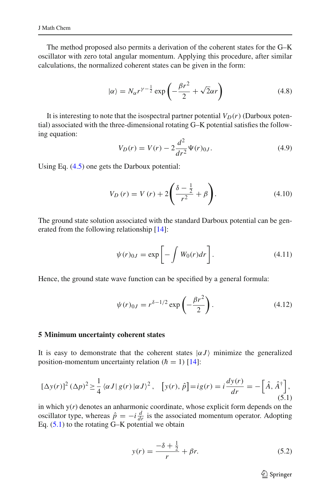The method proposed also permits a derivation of the coherent states for the G–K oscillator with zero total angular momentum. Applying this procedure, after similar calculations, the normalized coherent states can be given in the form:

$$
|\alpha\rangle = N_{\alpha}r^{\gamma - \frac{1}{2}}\exp\left(-\frac{\beta r^2}{2} + \sqrt{2}\alpha r\right)
$$
 (4.8)

It is interesting to note that the isospectral partner potential  $V_D(r)$  (Darboux potential) associated with the three-dimensional rotating G–K potential satisfies the following equation:

$$
V_D(r) = V(r) - 2\frac{d^2}{dr^2}\Psi(r)_{0J}.
$$
\n(4.9)

Using Eq. [\(4.5\)](#page-7-1) one gets the Darboux potential:

$$
V_D(r) = V(r) + 2\left(\frac{\delta - \frac{1}{2}}{r^2} + \beta\right).
$$
 (4.10)

The ground state solution associated with the standard Darboux potential can be generated from the following relationship [\[14\]](#page-13-30):

$$
\psi(r)_{0J} = \exp\left[-\int W_0(r)dr\right].\tag{4.11}
$$

Hence, the ground state wave function can be specified by a general formula:

$$
\psi(r)_{0J} = r^{\delta - 1/2} \exp\left(-\frac{\beta r^2}{2}\right). \tag{4.12}
$$

#### **5 Minimum uncertainty coherent states**

It is easy to demonstrate that the coherent states  $|\alpha J\rangle$  minimize the generalized position-momentum uncertainty relation  $(h = 1)$  [\[14](#page-13-30)]:

<span id="page-8-0"></span>
$$
[\Delta y(r)]^2 (\Delta p)^2 \ge \frac{1}{4} \langle \alpha J | g(r) | \alpha J \rangle^2, \quad [y(r), \hat{p}] = ig(r) = i \frac{dy(r)}{dr} = -[\hat{A}, \hat{A}^\dagger],
$$
\n(5.1)

in which  $y(r)$  denotes an anharmonic coordinate, whose explicit form depends on the oscillator type, whereas  $\hat{p} = -i \frac{d}{dr}$  is the associated momentum operator. Adopting Eq.  $(5.1)$  to the rotating G–K potential we obtain

<span id="page-8-1"></span>
$$
y(r) = \frac{-\delta + \frac{1}{2}}{r} + \beta r.
$$
 (5.2)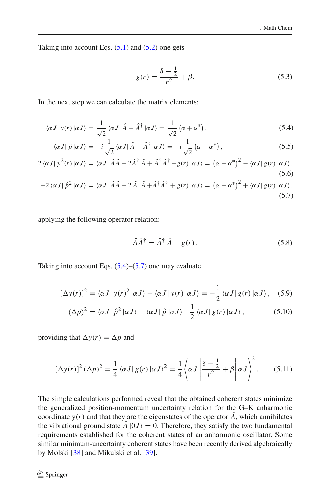Taking into account Eqs.  $(5.1)$  and  $(5.2)$  one gets

$$
g(r) = \frac{\delta - \frac{1}{2}}{r^2} + \beta.
$$
 (5.3)

<span id="page-9-0"></span>In the next step we can calculate the matrix elements:

$$
\langle \alpha J | y(r) | \alpha J \rangle = \frac{1}{\sqrt{2}} \langle \alpha J | \hat{A} + \hat{A}^{\dagger} | \alpha J \rangle = \frac{1}{\sqrt{2}} \left( \alpha + \alpha^* \right), \tag{5.4}
$$

$$
\langle \alpha J | \hat{p} | \alpha J \rangle = -i \frac{1}{\sqrt{2}} \langle \alpha J | \hat{A} - \hat{A}^{\dagger} | \alpha J \rangle = -i \frac{1}{\sqrt{2}} \left( \alpha - \alpha^* \right), \tag{5.5}
$$

$$
2 \langle \alpha J | y^2(r) | \alpha J \rangle = \langle \alpha J | \hat{A} \hat{A} + 2 \hat{A}^\dagger \hat{A} + \hat{A}^\dagger \hat{A}^\dagger - g(r) | \alpha J \rangle = (\alpha - \alpha^*)^2 - \langle \alpha J | g(r) | \alpha J \rangle, \tag{5.6}
$$

$$
-2 \langle \alpha J | \hat{p}^2 | \alpha J \rangle = \langle \alpha J | \hat{A}\hat{A} - 2 \hat{A}^\dagger \hat{A} + \hat{A}^\dagger \hat{A}^\dagger + g(r) | \alpha J \rangle = (\alpha - \alpha^*)^2 + \langle \alpha J | g(r) | \alpha J \rangle, \tag{5.7}
$$

applying the following operator relation:

$$
\hat{A}\hat{A}^{\dagger} = \hat{A}^{\dagger}\hat{A} - g(r). \tag{5.8}
$$

Taking into account Eqs.  $(5.4)$ – $(5.7)$  one may evaluate

$$
[\Delta y(r)]^2 = \langle \alpha J | y(r)^2 | \alpha J \rangle - \langle \alpha J | y(r) | \alpha J \rangle = -\frac{1}{2} \langle \alpha J | g(r) | \alpha J \rangle, \quad (5.9)
$$

$$
\left(\Delta p\right)^{2} = \langle \alpha J | \hat{p}^{2} | \alpha J \rangle - \langle \alpha J | \hat{p} | \alpha J \rangle - \frac{1}{2} \langle \alpha J | g(r) | \alpha J \rangle, \qquad (5.10)
$$

providing that  $\Delta y(r) = \Delta p$  and

$$
\left[\Delta y(r)\right]^2 \left(\Delta p\right)^2 = \frac{1}{4} \left\langle \alpha J \right| g(r) \left| \alpha J \right\rangle^2 = \frac{1}{4} \left\langle \alpha J \left| \frac{\delta - \frac{1}{2}}{r^2} + \beta \right| \alpha J \right\rangle^2. \tag{5.11}
$$

<span id="page-9-1"></span>The simple calculations performed reveal that the obtained coherent states minimize the generalized position-momentum uncertainty relation for the G–K anharmonic coordinate  $y(r)$  and that they are the eigenstates of the operator  $\hat{A}$ , which annihilates the vibrational ground state  $\hat{A} |0J\rangle = 0$ . Therefore, they satisfy the two fundamental requirements established for the coherent states of an anharmonic oscillator. Some similar minimum-uncertainty coherent states have been recently derived algebraically by Molski [\[38](#page-13-31)] and Mikulski et al. [\[39](#page-13-32)].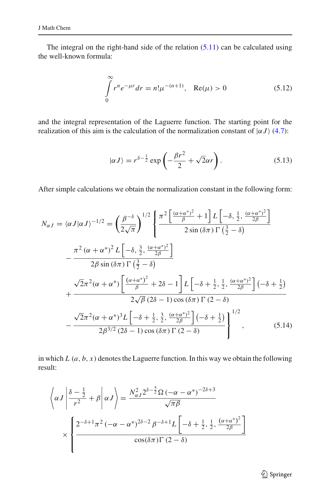The integral on the right-hand side of the relation [\(5.11\)](#page-9-1) can be calculated using the well-known formula:

$$
\int_{0}^{\infty} r^{n} e^{-\mu r} dr = n! \mu^{-(n+1)}, \quad \text{Re}(\mu) > 0
$$
\n(5.12)

and the integral representation of the Laguerre function. The starting point for the realization of this aim is the calculation of the normalization constant of  $\alpha J$  [\(4.7\)](#page-7-2):

$$
|\alpha J\rangle = r^{\delta - \frac{1}{2}} \exp\left(-\frac{\beta r^2}{2} + \sqrt{2}\alpha r\right).
$$
 (5.13)

After simple calculations we obtain the normalization constant in the following form:

$$
N_{\alpha J} = \langle \alpha J | \alpha J \rangle^{-1/2} = \left( \frac{\beta^{-\delta}}{2\sqrt{\pi}} \right)^{1/2} \left\{ \frac{\pi^2 \left[ \frac{(\alpha + \alpha^*)^2}{\beta} + 1 \right] L \left[ -\delta, \frac{1}{2}, \frac{(\alpha + \alpha^*)^2}{2\beta} \right]}{2 \sin (\delta \pi) \Gamma \left( \frac{3}{2} - \delta \right)} - \frac{\pi^2 (\alpha + \alpha^*)^2 L \left[ -\delta, \frac{3}{2}, \frac{(\alpha + \alpha^*)^2}{2\beta} \right]}{2\beta \sin (\delta \pi) \Gamma \left( \frac{3}{2} - \delta \right)} + \frac{\sqrt{2} \pi^2 (\alpha + \alpha^*) \left[ \frac{(\alpha + \alpha^*)^2}{\beta} + 2\delta - 1 \right] L \left[ -\delta + \frac{1}{2}, \frac{1}{2}, \frac{(\alpha + \alpha^*)^2}{2\beta} \right] \left( -\delta + \frac{1}{2} \right)}{2\sqrt{\beta} (2\delta - 1) \cos (\delta \pi) \Gamma (2 - \delta)} - \frac{\sqrt{2} \pi^2 (\alpha + \alpha^*)^2 L \left[ -\delta + \frac{1}{2}, \frac{3}{2}, \frac{(\alpha + \alpha^*)^2}{2\beta} \right] \left( -\delta + \frac{1}{2} \right)}{2\beta^{3/2} (2\delta - 1) \cos (\delta \pi) \Gamma (2 - \delta)} \right\}^{1/2}, \quad (5.14)
$$

in which  $L(a, b, x)$  denotes the Laguerre function. In this way we obtain the following result:

$$
\left\langle \alpha J \left| \frac{\delta - \frac{1}{2}}{r^2} + \beta \right| \alpha J \right\rangle = \frac{N_{\alpha J}^2 2^{\delta - \frac{5}{2}} \Omega \left( -\alpha - \alpha^* \right)^{-2\delta + 3}}{\sqrt{\pi \beta}}
$$

$$
\times \left\{ \frac{2^{-\delta + 1} \pi^2 \left( -\alpha - \alpha^* \right)^{2\delta - 2} \beta^{-\delta + 1} L \left[ -\delta + \frac{1}{2}, \frac{1}{2}, \frac{(\alpha + \alpha^*)^2}{2\beta} \right]}{\cos(\delta \pi) \Gamma \left( 2 - \delta \right)} \right\}
$$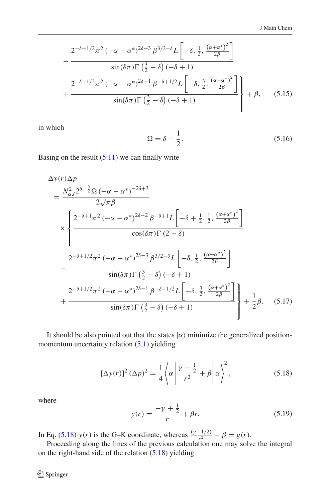$$
-\frac{2^{-\delta+1/2}\pi^2(-\alpha-\alpha^*)^{2\delta-3}\beta^{3/2-\delta}L\left[-\delta,\frac{1}{2},\frac{(\alpha+\alpha^*)^2}{2\beta}\right]}{\sin(\delta\pi)\Gamma\left(\frac{3}{2}-\delta\right)(-\delta+1)} + \frac{2^{-\delta+1/2}\pi^2(-\alpha-\alpha^*)^{2\delta-1}\beta^{-\delta+1/2}L\left[-\delta,\frac{3}{2},\frac{(\alpha+\alpha^*)^2}{2\beta}\right]}{\sin(\delta\pi)\Gamma\left(\frac{3}{2}-\delta\right)(-\delta+1)} + \beta, \quad (5.15)
$$

in which

$$
\Omega = \delta - \frac{1}{2}.\tag{5.16}
$$

Basing on the result  $(5.11)$  we can finally write

$$
\Delta y(r)\Delta p
$$
\n
$$
= \frac{N_{\alpha J}^2 2^{\delta-\frac{5}{2}} \Omega \left(-\alpha - \alpha^*\right)^{-2\delta+3}}{2\sqrt{\pi \beta}}
$$
\n
$$
\times \left\{\frac{2^{-\delta+1} \pi^2 \left(-\alpha - \alpha^*\right)^{2\delta-2} \beta^{-\delta+1} L \left[-\delta + \frac{1}{2}, \frac{1}{2}, \frac{(\alpha + \alpha^*)^2}{2\beta}\right]}{\cos(\delta \pi) \Gamma (2-\delta)} - \frac{2^{-\delta+1/2} \pi^2 \left(-\alpha - \alpha^*\right)^{2\delta-3} \beta^{3/2-\delta} L \left[-\delta, \frac{1}{2}, \frac{(\alpha + \alpha^*)^2}{2\beta}\right]}{\sin(\delta \pi) \Gamma \left(\frac{3}{2}-\delta\right) (-\delta+1)} + \frac{2^{-\delta+1/2} \pi^2 \left(-\alpha - \alpha^*\right)^{2\delta-1} \beta^{-\delta+1/2} L \left[-\delta, \frac{3}{2}, \frac{(\alpha + \alpha^*)^2}{2\beta}\right]}{\sin(\delta \pi) \Gamma \left(\frac{3}{2}-\delta\right) (-\delta+1)} + \frac{1}{2}\beta. \quad (5.17)
$$

It should be also pointed out that the states  $|\alpha\rangle$  minimize the generalized positionmomentum uncertainty relation [\(5.1\)](#page-8-0) yielding

$$
[\Delta y(r)]^2 (\Delta p)^2 = \frac{1}{4} \left\langle \alpha \left| \frac{\gamma - \frac{1}{2}}{r^2} + \beta \right| \alpha \right\rangle^2, \qquad (5.18)
$$

<span id="page-11-0"></span>where

$$
y(r) = \frac{-\gamma + \frac{1}{2}}{r} + \beta r.
$$
 (5.19)

In Eq. [\(5.18\)](#page-11-0) *y*(*r*) is the G–K coordinate, whereas  $\frac{(y-1/2)}{r^2} - \beta = g(r)$ .

Proceeding along the lines of the previous calculation one may solve the integral on the right-hand side of the relation  $(5.18)$  yielding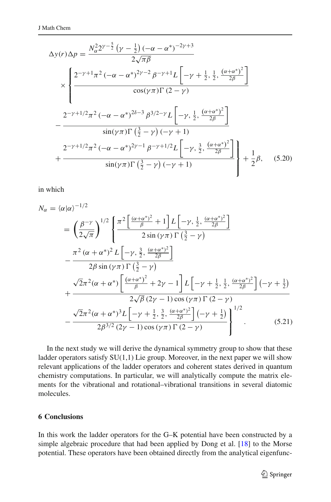$$
\Delta y(r)\Delta p = \frac{N_{\alpha}^{2}2^{\gamma-\frac{5}{2}}\left(\gamma-\frac{1}{2}\right)(-\alpha-\alpha^{*})^{-2\gamma+3}}{2\sqrt{\pi\beta}}
$$
  
\n
$$
\times \left\{\frac{2^{-\gamma+1}\pi^{2}\left(-\alpha-\alpha^{*}\right)^{2\gamma-2}\beta^{-\gamma+1}L\left[-\gamma+\frac{1}{2},\frac{1}{2},\frac{(\alpha+\alpha^{*})^{2}}{2\beta}\right]}{\cos(\gamma\pi)\Gamma(2-\gamma)} - \frac{2^{-\gamma+1/2}\pi^{2}\left(-\alpha-\alpha^{*}\right)^{2\delta-3}\beta^{3/2-\gamma}L\left[-\gamma,\frac{1}{2},\frac{(\alpha+\alpha^{*})^{2}}{2\beta}\right]}{\sin(\gamma\pi)\Gamma(\frac{3}{2}-\gamma)(-\gamma+1)} - \frac{2^{-\gamma+1/2}\pi^{2}\left(-\alpha-\alpha^{*}\right)^{2\gamma-1}\beta^{-\gamma+1/2}L\left[-\gamma,\frac{3}{2},\frac{(\alpha+\alpha^{*})^{2}}{2\beta}\right]}{\sin(\gamma\pi)\Gamma(\frac{3}{2}-\gamma)(-\gamma+1)} + \frac{1}{2}\beta, \quad (5.20)
$$

in which

$$
N_{\alpha} = \langle \alpha | \alpha \rangle^{-1/2}
$$
  
=  $\left(\frac{\beta^{-\gamma}}{2\sqrt{\pi}}\right)^{1/2} \left\{ \frac{\pi^2 \left[\frac{(\alpha + \alpha^*)^2}{\beta} + 1\right] L \left[-\gamma, \frac{1}{2}, \frac{(\alpha + \alpha^*)^2}{2\beta}\right]}{2 \sin (\gamma \pi) \Gamma \left(\frac{3}{2} - \gamma\right)} - \frac{\pi^2 (\alpha + \alpha^*)^2 L \left[-\gamma, \frac{3}{2}, \frac{(\alpha + \alpha^*)^2}{2\beta}\right]}{2\beta \sin (\gamma \pi) \Gamma \left(\frac{3}{2} - \gamma\right)} + \frac{\sqrt{2}\pi^2 (\alpha + \alpha^*) \left[\frac{(\alpha + \alpha^*)^2}{\beta} + 2\gamma - 1\right] L \left[-\gamma + \frac{1}{2}, \frac{1}{2}, \frac{(\alpha + \alpha^*)^2}{2\beta}\right] (-\gamma + \frac{1}{2})}{2\sqrt{\beta} (2\gamma - 1) \cos (\gamma \pi) \Gamma (2 - \gamma)} - \frac{\sqrt{2}\pi^2 (\alpha + \alpha^*)^3 L \left[-\gamma + \frac{1}{2}, \frac{3}{2}, \frac{(\alpha + \alpha^*)^2}{2\beta}\right] (-\gamma + \frac{1}{2})}{2\beta^{3/2} (2\gamma - 1) \cos (\gamma \pi) \Gamma (2 - \gamma)} \right\}^{1/2} . \tag{5.21}$ 

In the next study we will derive the dynamical symmetry group to show that these ladder operators satisfy SU(1,1) Lie group. Moreover, in the next paper we will show relevant applications of the ladder operators and coherent states derived in quantum chemistry computations. In particular, we will analytically compute the matrix elements for the vibrational and rotational–vibrational transitions in several diatomic molecules.

## **6 Conclusions**

In this work the ladder operators for the G–K potential have been constructed by a simple algebraic procedure that had been applied by Dong et al. [\[18\]](#page-13-9) to the Morse potential. These operators have been obtained directly from the analytical eigenfunc